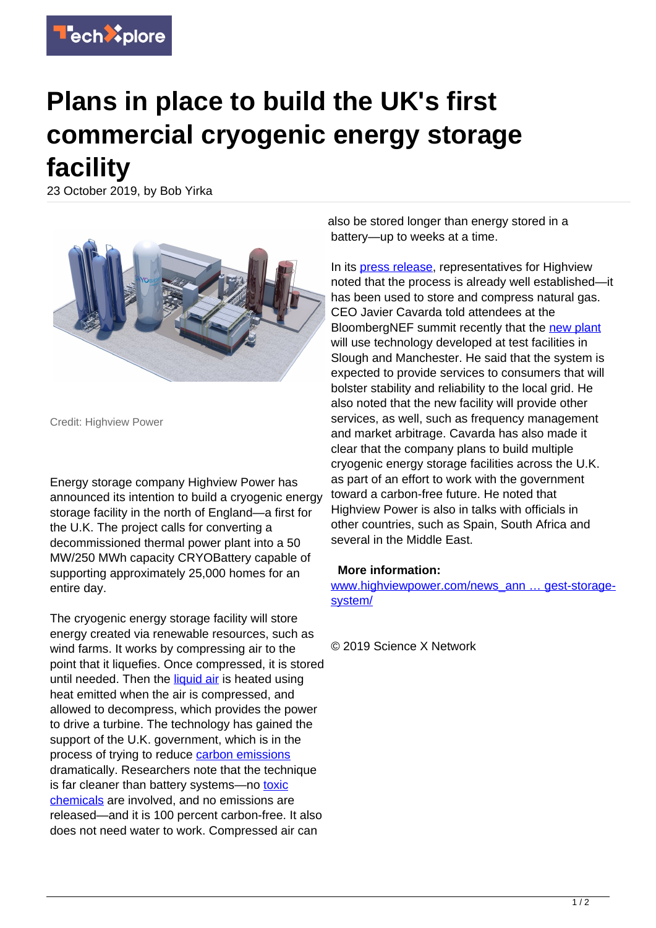

## **Plans in place to build the UK's first commercial cryogenic energy storage facility**

23 October 2019, by Bob Yirka



Credit: Highview Power

Energy storage company Highview Power has announced its intention to build a cryogenic energy storage facility in the north of England—a first for the U.K. The project calls for converting a decommissioned thermal power plant into a 50 MW/250 MWh capacity CRYOBattery capable of supporting approximately 25,000 homes for an entire day.

The cryogenic energy storage facility will store energy created via renewable resources, such as wind farms. It works by compressing air to the point that it liquefies. Once compressed, it is stored until needed. Then the [liquid air](https://techxplore.com/tags/liquid+air/) is heated using heat emitted when the air is compressed, and allowed to decompress, which provides the power to drive a turbine. The technology has gained the support of the U.K. government, which is in the process of trying to reduce [carbon emissions](https://techxplore.com/tags/carbon+emissions/) dramatically. Researchers note that the technique is far cleaner than battery systems—no [toxic](https://techxplore.com/tags/toxic+chemicals/) [chemicals](https://techxplore.com/tags/toxic+chemicals/) are involved, and no emissions are released—and it is 100 percent carbon-free. It also does not need water to work. Compressed air can

also be stored longer than energy stored in a battery—up to weeks at a time.

In its [press release,](https://techxplore.com/tags/press+release/) representatives for Highview noted that the process is already well established—it has been used to store and compress natural gas. CEO Javier Cavarda told attendees at the BloombergNEF summit recently that the [new plant](https://techxplore.com/tags/new+plant/) will use technology developed at test facilities in Slough and Manchester. He said that the system is expected to provide services to consumers that will bolster stability and reliability to the local grid. He also noted that the new facility will provide other services, as well, such as frequency management and market arbitrage. Cavarda has also made it clear that the company plans to build multiple cryogenic energy storage facilities across the U.K. as part of an effort to work with the government toward a carbon-free future. He noted that Highview Power is also in talks with officials in other countries, such as Spain, South Africa and several in the Middle East.

## **More information:**

[www.highviewpower.com/news\\_ann … gest-storage](https://www.highviewpower.com/news_announcement/highview-power-to-develop-multiple-cryogenic-energy-storage-facilities-in-the-uk-and-to-build-europes-largest-storage-system/)[system/](https://www.highviewpower.com/news_announcement/highview-power-to-develop-multiple-cryogenic-energy-storage-facilities-in-the-uk-and-to-build-europes-largest-storage-system/)

© 2019 Science X Network